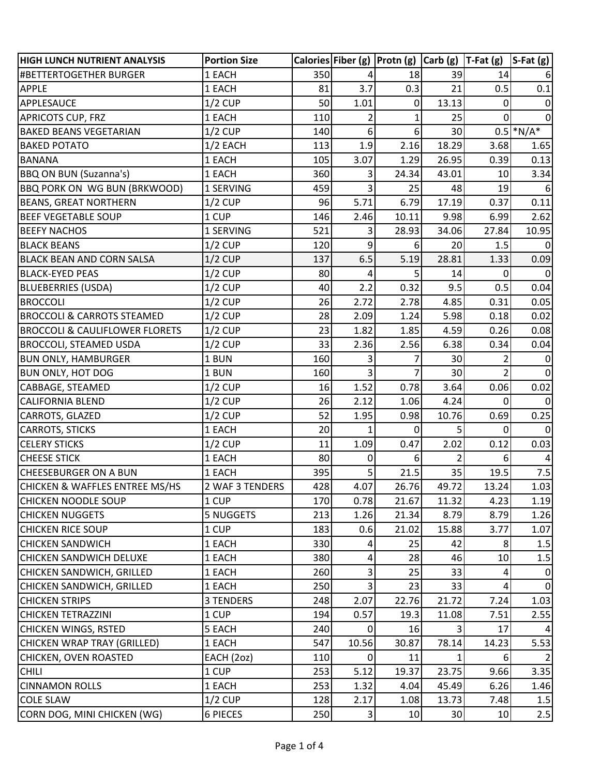| <b>HIGH LUNCH NUTRIENT ANALYSIS</b>       | <b>Portion Size</b> |     |                | Calories Fiber (g) $ $ Protn (g) $ $ Carb (g) $ $ T-Fat (g) $ $ S-Fat (g) |       |                |              |
|-------------------------------------------|---------------------|-----|----------------|---------------------------------------------------------------------------|-------|----------------|--------------|
| #BETTERTOGETHER BURGER                    | 1 EACH              | 350 |                | 18                                                                        | 39    | 14             |              |
| <b>APPLE</b>                              | 1 EACH              | 81  | 3.7            | 0.3                                                                       | 21    | 0.5            | 0.1          |
| APPLESAUCE                                | $1/2$ CUP           | 50  | 1.01           | 0                                                                         | 13.13 | 0              | $\mathbf 0$  |
| <b>APRICOTS CUP, FRZ</b>                  | 1 EACH              | 110 | 2              | 1                                                                         | 25    | 0              | 0            |
| <b>BAKED BEANS VEGETARIAN</b>             | $1/2$ CUP           | 140 | 6              | 6                                                                         | 30    |                | $0.5$ *N/A*  |
| <b>BAKED POTATO</b>                       | $1/2$ EACH          | 113 | 1.9            | 2.16                                                                      | 18.29 | 3.68           | 1.65         |
| <b>BANANA</b>                             | 1 EACH              | 105 | 3.07           | 1.29                                                                      | 26.95 | 0.39           | 0.13         |
| <b>BBQ ON BUN (Suzanna's)</b>             | 1 EACH              | 360 | 3              | 24.34                                                                     | 43.01 | 10             | 3.34         |
| <b>BBQ PORK ON WG BUN (BRKWOOD)</b>       | 1 SERVING           | 459 | 3              | 25                                                                        | 48    | 19             |              |
| <b>BEANS, GREAT NORTHERN</b>              | $1/2$ CUP           | 96  | 5.71           | 6.79                                                                      | 17.19 | 0.37           | 0.11         |
| <b>BEEF VEGETABLE SOUP</b>                | 1 CUP               | 146 | 2.46           | 10.11                                                                     | 9.98  | 6.99           | 2.62         |
| <b>BEEFY NACHOS</b>                       | 1 SERVING           | 521 | 3              | 28.93                                                                     | 34.06 | 27.84          | 10.95        |
| <b>BLACK BEANS</b>                        | $1/2$ CUP           | 120 | 9              | 6                                                                         | 20    | 1.5            | $\Omega$     |
| <b>BLACK BEAN AND CORN SALSA</b>          | $1/2$ CUP           | 137 | 6.5            | 5.19                                                                      | 28.81 | 1.33           | 0.09         |
| <b>BLACK-EYED PEAS</b>                    | $1/2$ CUP           | 80  | 4              | 5                                                                         | 14    | 0              | $\Omega$     |
| <b>BLUEBERRIES (USDA)</b>                 | $1/2$ CUP           | 40  | 2.2            | 0.32                                                                      | 9.5   | 0.5            | 0.04         |
| <b>BROCCOLI</b>                           | $1/2$ CUP           | 26  | 2.72           | 2.78                                                                      | 4.85  | 0.31           | 0.05         |
| <b>BROCCOLI &amp; CARROTS STEAMED</b>     | $1/2$ CUP           | 28  | 2.09           | 1.24                                                                      | 5.98  | 0.18           | 0.02         |
| <b>BROCCOLI &amp; CAULIFLOWER FLORETS</b> | $1/2$ CUP           | 23  | 1.82           | 1.85                                                                      | 4.59  | 0.26           | 0.08         |
| <b>BROCCOLI, STEAMED USDA</b>             | $1/2$ CUP           | 33  | 2.36           | 2.56                                                                      | 6.38  | 0.34           | 0.04         |
| <b>BUN ONLY, HAMBURGER</b>                | 1 BUN               | 160 | 3              |                                                                           | 30    | 2              | 0            |
| <b>BUN ONLY, HOT DOG</b>                  | 1 BUN               | 160 | 3              |                                                                           | 30    | 2              | $\Omega$     |
| CABBAGE, STEAMED                          | $1/2$ CUP           | 16  | 1.52           | 0.78                                                                      | 3.64  | 0.06           | 0.02         |
| <b>CALIFORNIA BLEND</b>                   | $1/2$ CUP           | 26  | 2.12           | 1.06                                                                      | 4.24  | 0              | <sup>0</sup> |
| CARROTS, GLAZED                           | $1/2$ CUP           | 52  | 1.95           | 0.98                                                                      | 10.76 | 0.69           | 0.25         |
| <b>CARROTS, STICKS</b>                    | 1 EACH              | 20  |                | 0                                                                         | 5     | 0              |              |
| <b>CELERY STICKS</b>                      | $1/2$ CUP           | 11  | 1.09           | 0.47                                                                      | 2.02  | 0.12           | 0.03         |
| <b>CHEESE STICK</b>                       | 1 EACH              | 80  | 0              | 6                                                                         |       | 6              |              |
| <b>CHEESEBURGER ON A BUN</b>              | 1 EACH              | 395 | 5              | 21.5                                                                      | 35    | 19.5           | 7.5          |
| <b>CHICKEN &amp; WAFFLES ENTREE MS/HS</b> | 2 WAF 3 TENDERS     | 428 | 4.07           | 26.76                                                                     | 49.72 | 13.24          | 1.03         |
| <b>CHICKEN NOODLE SOUP</b>                | 1 CUP               | 170 | 0.78           | 21.67                                                                     | 11.32 | 4.23           | 1.19         |
| <b>CHICKEN NUGGETS</b>                    | <b>5 NUGGETS</b>    | 213 | 1.26           | 21.34                                                                     | 8.79  | 8.79           | 1.26         |
| <b>CHICKEN RICE SOUP</b>                  | 1 CUP               | 183 | 0.6            | 21.02                                                                     | 15.88 | 3.77           | 1.07         |
| <b>CHICKEN SANDWICH</b>                   | 1 EACH              | 330 | 4              | 25                                                                        | 42    | 8 <sup>1</sup> | 1.5          |
| <b>CHICKEN SANDWICH DELUXE</b>            | 1 EACH              | 380 | 4              | 28                                                                        | 46    | 10             | $1.5\,$      |
| CHICKEN SANDWICH, GRILLED                 | 1 EACH              | 260 | 3              | 25                                                                        | 33    | 4              | 0            |
| CHICKEN SANDWICH, GRILLED                 | 1 EACH              | 250 | $\overline{3}$ | 23                                                                        | 33    | 4              | $\mathbf{0}$ |
| <b>CHICKEN STRIPS</b>                     | <b>3 TENDERS</b>    | 248 | 2.07           | 22.76                                                                     | 21.72 | 7.24           | 1.03         |
| <b>CHICKEN TETRAZZINI</b>                 | 1 CUP               | 194 | 0.57           | 19.3                                                                      | 11.08 | 7.51           | 2.55         |
| CHICKEN WINGS, RSTED                      | 5 EACH              | 240 |                | 16                                                                        |       | 17             |              |
| CHICKEN WRAP TRAY (GRILLED)               | 1 EACH              | 547 | 10.56          | 30.87                                                                     | 78.14 | 14.23          | 5.53         |
| CHICKEN, OVEN ROASTED                     | EACH (2oz)          | 110 | 0              | 11                                                                        |       | 6              |              |
| <b>CHILI</b>                              | 1 CUP               | 253 | 5.12           | 19.37                                                                     | 23.75 | 9.66           | 3.35         |
| <b>CINNAMON ROLLS</b>                     | 1 EACH              | 253 | 1.32           | 4.04                                                                      | 45.49 | 6.26           | 1.46         |
| <b>COLE SLAW</b>                          | $1/2$ CUP           | 128 | 2.17           | 1.08                                                                      | 13.73 | 7.48           | 1.5          |
| CORN DOG, MINI CHICKEN (WG)               | 6 PIECES            | 250 | $\vert$ 3      | 10                                                                        | 30    | 10             | 2.5          |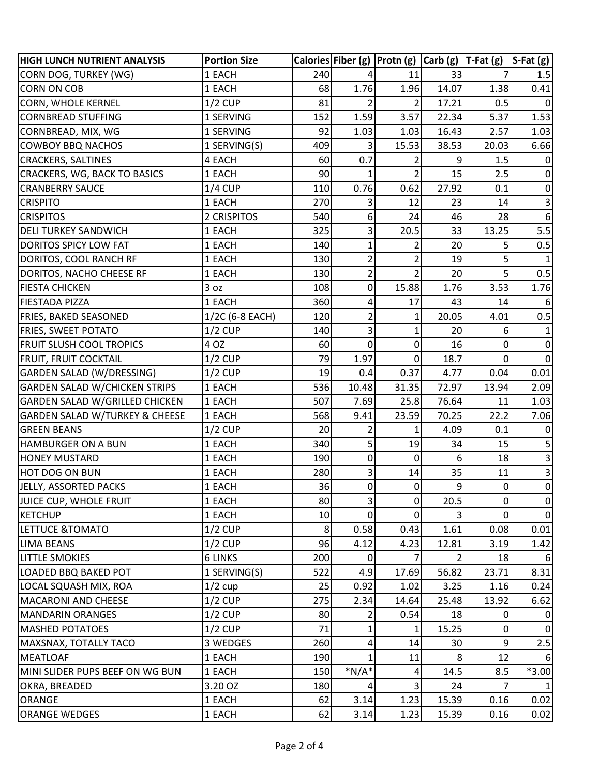| <b>HIGH LUNCH NUTRIENT ANALYSIS</b>       | <b>Portion Size</b> |     |                         | Calories Fiber (g) $ $ Protn (g) $ $ Carb (g) $ $ T-Fat (g) |                |                | $ S-Fat(g) $   |
|-------------------------------------------|---------------------|-----|-------------------------|-------------------------------------------------------------|----------------|----------------|----------------|
| CORN DOG, TURKEY (WG)                     | 1 EACH              | 240 |                         | 11                                                          | 33             |                | 1.5            |
| <b>CORN ON COB</b>                        | 1 EACH              | 68  | 1.76                    | 1.96                                                        | 14.07          | 1.38           | 0.41           |
| <b>CORN, WHOLE KERNEL</b>                 | $1/2$ CUP           | 81  | 2                       | 2                                                           | 17.21          | 0.5            | 0              |
| <b>CORNBREAD STUFFING</b>                 | 1 SERVING           | 152 | 1.59                    | 3.57                                                        | 22.34          | 5.37           | 1.53           |
| CORNBREAD, MIX, WG                        | 1 SERVING           | 92  | 1.03                    | 1.03                                                        | 16.43          | 2.57           | 1.03           |
| <b>COWBOY BBQ NACHOS</b>                  | 1 SERVING(S)        | 409 | 3                       | 15.53                                                       | 38.53          | 20.03          | 6.66           |
| <b>CRACKERS, SALTINES</b>                 | 4 EACH              | 60  | 0.7                     | 2                                                           | 9              | 1.5            |                |
| <b>CRACKERS, WG, BACK TO BASICS</b>       | 1 EACH              | 90  | 1                       | $\overline{2}$                                              | 15             | 2.5            | $\Omega$       |
| <b>CRANBERRY SAUCE</b>                    | $1/4$ CUP           | 110 | 0.76                    | 0.62                                                        | 27.92          | 0.1            | $\mathbf{0}$   |
| <b>CRISPITO</b>                           | 1 EACH              | 270 | 3                       | 12                                                          | 23             | 14             | 3              |
| <b>CRISPITOS</b>                          | 2 CRISPITOS         | 540 | 6                       | 24                                                          | 46             | 28             | 6              |
| <b>DELI TURKEY SANDWICH</b>               | 1 EACH              | 325 | 3                       | 20.5                                                        | 33             | 13.25          | 5.5            |
| <b>DORITOS SPICY LOW FAT</b>              | 1 EACH              | 140 | 1                       | 2                                                           | 20             |                | 0.5            |
| DORITOS, COOL RANCH RF                    | 1 EACH              | 130 | 2                       | $\overline{2}$                                              | 19             | 5              |                |
| DORITOS, NACHO CHEESE RF                  | 1 EACH              | 130 | $\overline{\mathbf{c}}$ | $\overline{2}$                                              | 20             | $\overline{5}$ | 0.5            |
| <b>FIESTA CHICKEN</b>                     | 3 oz                | 108 | 0                       | 15.88                                                       | 1.76           | 3.53           | 1.76           |
| <b>FIESTADA PIZZA</b>                     | 1 EACH              | 360 | 4                       | 17                                                          | 43             | 14             | 6              |
| <b>FRIES, BAKED SEASONED</b>              | 1/2C (6-8 EACH)     | 120 | $\overline{2}$          | 1                                                           | 20.05          | 4.01           | 0.5            |
| <b>FRIES, SWEET POTATO</b>                | $1/2$ CUP           | 140 | 3                       | 1                                                           | 20             | 6              |                |
| <b>FRUIT SLUSH COOL TROPICS</b>           | 4 OZ                | 60  | 0                       | $\mathbf{0}$                                                | 16             | 0              | $\Omega$       |
| <b>FRUIT, FRUIT COCKTAIL</b>              | $1/2$ CUP           | 79  | 1.97                    | $\mathbf{0}$                                                | 18.7           | 0              | $\Omega$       |
| GARDEN SALAD (W/DRESSING)                 | $1/2$ CUP           | 19  | 0.4                     | 0.37                                                        | 4.77           | 0.04           | 0.01           |
| <b>GARDEN SALAD W/CHICKEN STRIPS</b>      | 1 EACH              | 536 | 10.48                   | 31.35                                                       | 72.97          | 13.94          | 2.09           |
| <b>GARDEN SALAD W/GRILLED CHICKEN</b>     | 1 EACH              | 507 | 7.69                    | 25.8                                                        | 76.64          | 11             | 1.03           |
| <b>GARDEN SALAD W/TURKEY &amp; CHEESE</b> | 1 EACH              | 568 | 9.41                    | 23.59                                                       | 70.25          | 22.2           | 7.06           |
| <b>GREEN BEANS</b>                        | $1/2$ CUP           | 20  | 2                       | 1                                                           | 4.09           | 0.1            | <sup>0</sup>   |
| <b>HAMBURGER ON A BUN</b>                 | 1 EACH              | 340 | 5                       | 19                                                          | 34             | 15             |                |
| <b>HONEY MUSTARD</b>                      | 1 EACH              | 190 | $\mathbf 0$             | 0                                                           | 6              | 18             | 3              |
| <b>HOT DOG ON BUN</b>                     | 1 EACH              | 280 | 3                       | 14                                                          | 35             | 11             | 3              |
| JELLY, ASSORTED PACKS                     | 1 EACH              | 36  | $\overline{0}$          | $\overline{0}$                                              | $\overline{9}$ | $\overline{0}$ | $\overline{0}$ |
| JUICE CUP, WHOLE FRUIT                    | 1 EACH              | 80  | $\overline{\mathsf{3}}$ | 0                                                           | 20.5           | 0              | 0              |
| KETCHUP                                   | 1 EACH              | 10  | 0                       | $\Omega$                                                    |                | 0              | $\Omega$       |
| <b>LETTUCE &amp;TOMATO</b>                | $1/2$ CUP           | 8   | 0.58                    | 0.43                                                        | 1.61           | 0.08           | 0.01           |
| <b>LIMA BEANS</b>                         | $1/2$ CUP           | 96  | 4.12                    | 4.23                                                        | 12.81          | 3.19           | 1.42           |
| <b>LITTLE SMOKIES</b>                     | <b>6 LINKS</b>      | 200 | 0                       |                                                             |                | 18             |                |
| LOADED BBQ BAKED POT                      | 1 SERVING(S)        | 522 | 4.9                     | 17.69                                                       | 56.82          | 23.71          | 8.31           |
| LOCAL SQUASH MIX, ROA                     | $1/2$ cup           | 25  | 0.92                    | 1.02                                                        | 3.25           | 1.16           | 0.24           |
| <b>MACARONI AND CHEESE</b>                | $1/2$ CUP           | 275 | 2.34                    | 14.64                                                       | 25.48          | 13.92          | 6.62           |
| MANDARIN ORANGES                          | $1/2$ CUP           | 80  | 2                       | 0.54                                                        | 18             | 0              | 0              |
| <b>MASHED POTATOES</b>                    | $1/2$ CUP           | 71  | 1                       |                                                             | 15.25          | 0              | $\mathbf 0$    |
| MAXSNAX, TOTALLY TACO                     | 3 WEDGES            | 260 | 4                       | 14                                                          | 30             | $\overline{9}$ | 2.5            |
| MEATLOAF                                  | 1 EACH              | 190 |                         | 11                                                          | 8              | 12             | 6              |
| MINI SLIDER PUPS BEEF ON WG BUN           | 1 EACH              | 150 | $*N/A*$                 | 4                                                           | 14.5           | 8.5            | $*3.00$        |
| OKRA, BREADED                             | 3.20 OZ             | 180 | 4                       | $\overline{3}$                                              | 24             |                |                |
| <b>ORANGE</b>                             | 1 EACH              | 62  | 3.14                    | 1.23                                                        | 15.39          | 0.16           | 0.02           |
| <b>ORANGE WEDGES</b>                      | 1 EACH              | 62  | 3.14                    | 1.23                                                        | 15.39          | 0.16           | 0.02           |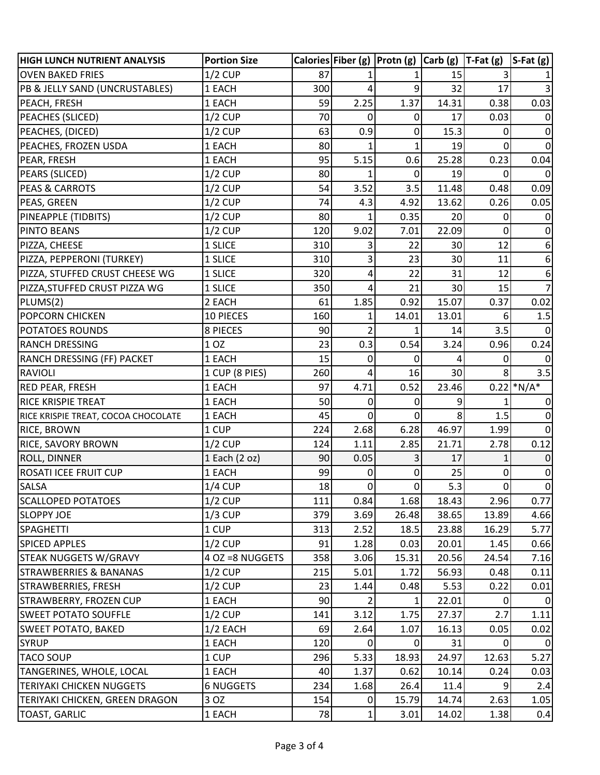| <b>HIGH LUNCH NUTRIENT ANALYSIS</b> | <b>Portion Size</b> |     |                | Calories Fiber (g) $ $ Protn (g) $ $ Carb (g) $ $ T-Fat (g) |       |                | $S-Fat(g)$     |
|-------------------------------------|---------------------|-----|----------------|-------------------------------------------------------------|-------|----------------|----------------|
| <b>OVEN BAKED FRIES</b>             | $1/2$ CUP           | 87  |                |                                                             | 15    |                |                |
| PB & JELLY SAND (UNCRUSTABLES)      | 1 EACH              | 300 | 4              | 9                                                           | 32    | 17             |                |
| PEACH, FRESH                        | 1 EACH              | 59  | 2.25           | 1.37                                                        | 14.31 | 0.38           | 0.03           |
| PEACHES (SLICED)                    | $1/2$ CUP           | 70  | 0              | 0                                                           | 17    | 0.03           |                |
| PEACHES, (DICED)                    | $1/2$ CUP           | 63  | 0.9            | 0                                                           | 15.3  | $\mathbf{0}$   | 0              |
| PEACHES, FROZEN USDA                | 1 EACH              | 80  |                |                                                             | 19    | 0              |                |
| PEAR, FRESH                         | 1 EACH              | 95  | 5.15           | 0.6                                                         | 25.28 | 0.23           | 0.04           |
| PEARS (SLICED)                      | <b>1/2 CUP</b>      | 80  | 1              | 0                                                           | 19    | 0              | $\Omega$       |
| <b>PEAS &amp; CARROTS</b>           | 1/2 CUP             | 54  | 3.52           | 3.5                                                         | 11.48 | 0.48           | 0.09           |
| PEAS, GREEN                         | $1/2$ CUP           | 74  | 4.3            | 4.92                                                        | 13.62 | 0.26           | 0.05           |
| PINEAPPLE (TIDBITS)                 | $1/2$ CUP           | 80  |                | 0.35                                                        | 20    | 0              |                |
| PINTO BEANS                         | $1/2$ CUP           | 120 | 9.02           | 7.01                                                        | 22.09 | 0              |                |
| PIZZA, CHEESE                       | 1 SLICE             | 310 | 3              | 22                                                          | 30    | 12             | 6              |
| PIZZA, PEPPERONI (TURKEY)           | 1 SLICE             | 310 | 3              | 23                                                          | 30    | 11             | 6              |
| PIZZA, STUFFED CRUST CHEESE WG      | 1 SLICE             | 320 | 4              | 22                                                          | 31    | 12             |                |
| PIZZA, STUFFED CRUST PIZZA WG       | 1 SLICE             | 350 | 4              | 21                                                          | 30    | 15             |                |
| PLUMS(2)                            | 2 EACH              | 61  | 1.85           | 0.92                                                        | 15.07 | 0.37           | 0.02           |
| <b>POPCORN CHICKEN</b>              | 10 PIECES           | 160 | 1              | 14.01                                                       | 13.01 | 6              | 1.5            |
| <b>POTATOES ROUNDS</b>              | 8 PIECES            | 90  | 2              |                                                             | 14    | 3.5            |                |
| <b>RANCH DRESSING</b>               | 1 OZ                | 23  | 0.3            | 0.54                                                        | 3.24  | 0.96           | 0.24           |
| <b>RANCH DRESSING (FF) PACKET</b>   | 1 EACH              | 15  | 0              | 0                                                           |       | 0              |                |
| RAVIOLI                             | 1 CUP (8 PIES)      | 260 | 4              | 16                                                          | 30    | 8              | 3.5            |
| <b>RED PEAR, FRESH</b>              | 1 EACH              | 97  | 4.71           | 0.52                                                        | 23.46 |                | $0.22$ *N/A*   |
| <b>RICE KRISPIE TREAT</b>           | 1 EACH              | 50  | 0              | 0                                                           | 9     |                |                |
| RICE KRISPIE TREAT, COCOA CHOCOLATE | 1 EACH              | 45  | 0              | 0                                                           | 8     | 1.5            |                |
| <b>RICE, BROWN</b>                  | 1 CUP               | 224 | 2.68           | 6.28                                                        | 46.97 | 1.99           |                |
| <b>RICE, SAVORY BROWN</b>           | $1/2$ CUP           | 124 | 1.11           | 2.85                                                        | 21.71 | 2.78           | 0.12           |
| <b>ROLL, DINNER</b>                 | 1 Each (2 oz)       | 90  | 0.05           |                                                             | 17    |                |                |
| <b>ROSATI ICEE FRUIT CUP</b>        | 1 EACH              | 99  | 0              | 0                                                           | 25    | $\overline{0}$ | 0              |
| <b>SALSA</b>                        | $1/4$ CUP           | 18  | $\overline{0}$ | $\overline{0}$                                              | 5.3   | $\overline{0}$ | $\Omega$       |
| <b>SCALLOPED POTATOES</b>           | $1/2$ CUP           | 111 | 0.84           | 1.68                                                        | 18.43 | 2.96           | 0.77           |
| <b>SLOPPY JOE</b>                   | $1/3$ CUP           | 379 | 3.69           | 26.48                                                       | 38.65 | 13.89          | 4.66           |
| <b>SPAGHETTI</b>                    | 1 CUP               | 313 | 2.52           | 18.5                                                        | 23.88 | 16.29          | 5.77           |
| <b>SPICED APPLES</b>                | $1/2$ CUP           | 91  | 1.28           | 0.03                                                        | 20.01 | 1.45           | 0.66           |
| <b>STEAK NUGGETS W/GRAVY</b>        | 4 OZ = 8 NUGGETS    | 358 | 3.06           | 15.31                                                       | 20.56 | 24.54          | 7.16           |
| <b>STRAWBERRIES &amp; BANANAS</b>   | $1/2$ CUP           | 215 | 5.01           | 1.72                                                        | 56.93 | 0.48           | 0.11           |
| STRAWBERRIES, FRESH                 | $1/2$ CUP           | 23  | 1.44           | 0.48                                                        | 5.53  | 0.22           | 0.01           |
| STRAWBERRY, FROZEN CUP              | 1 EACH              | 90  | 2              | 1                                                           | 22.01 | 0              |                |
| <b>SWEET POTATO SOUFFLE</b>         | $1/2$ CUP           | 141 | 3.12           | 1.75                                                        | 27.37 | 2.7            | 1.11           |
| <b>SWEET POTATO, BAKED</b>          | 1/2 EACH            | 69  | 2.64           | 1.07                                                        | 16.13 | 0.05           | 0.02           |
| <b>SYRUP</b>                        | 1 EACH              | 120 | 0              | 0                                                           | 31    | $\overline{0}$ | $\overline{0}$ |
| <b>TACO SOUP</b>                    | 1 CUP               | 296 | 5.33           | 18.93                                                       | 24.97 | 12.63          | 5.27           |
| TANGERINES, WHOLE, LOCAL            | 1 EACH              | 40  | 1.37           | 0.62                                                        | 10.14 | 0.24           | 0.03           |
| <b>TERIYAKI CHICKEN NUGGETS</b>     | <b>6 NUGGETS</b>    | 234 | 1.68           | 26.4                                                        | 11.4  | $\overline{9}$ | 2.4            |
| TERIYAKI CHICKEN, GREEN DRAGON      | 3 OZ                | 154 | 0              | 15.79                                                       | 14.74 | 2.63           | 1.05           |
| <b>TOAST, GARLIC</b>                | 1 EACH              | 78  | $\mathbf{1}$   | 3.01                                                        | 14.02 | 1.38           | 0.4            |